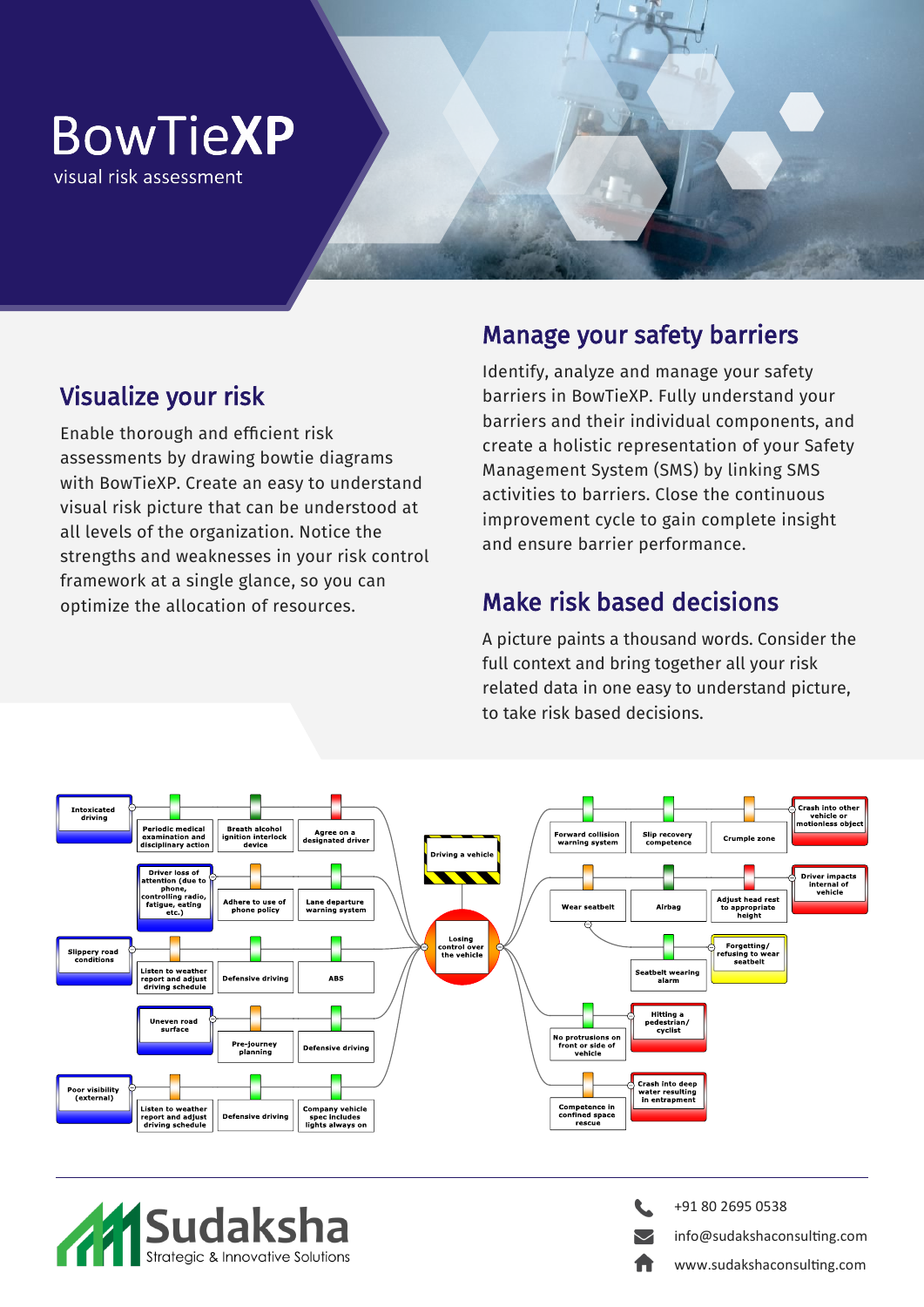

# Visualize your risk

Enable thorough and efficient risk assessments by drawing bowtie diagrams with BowTieXP. Create an easy to understand visual risk picture that can be understood at all levels of the organization. Notice the strengths and weaknesses in your risk control framework at a single glance, so you can optimize the allocation of resources.

## Manage your safety barriers

Identify, analyze and manage your safety barriers in BowTieXP. Fully understand your barriers and their individual components, and create a holistic representation of your Safety Management System (SMS) by linking SMS activities to barriers. Close the continuous improvement cycle to gain complete insight and ensure barrier performance.

# Make risk based decisions

A picture paints a thousand words. Consider the full context and bring together all your risk related data in one easy to understand picture, to take risk based decisions.





+91 80 2695 0538 info@sudakshaconsulting.com

www.sudakshaconsulting.com